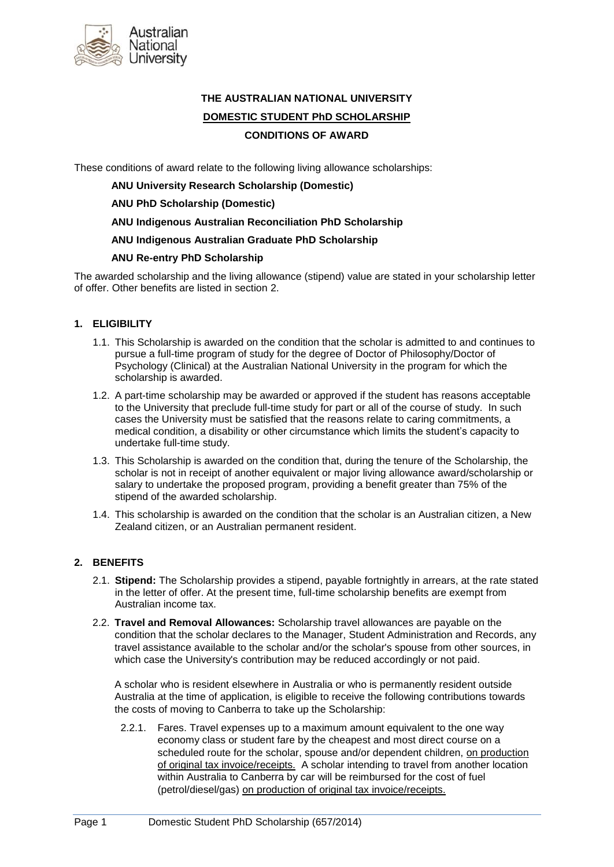

# **THE AUSTRALIAN NATIONAL UNIVERSITY DOMESTIC STUDENT PhD SCHOLARSHIP CONDITIONS OF AWARD**

These conditions of award relate to the following living allowance scholarships:

**ANU University Research Scholarship (Domestic)**

**ANU PhD Scholarship (Domestic)**

**ANU Indigenous Australian Reconciliation PhD Scholarship**

**ANU Indigenous Australian Graduate PhD Scholarship**

### **ANU Re-entry PhD Scholarship**

The awarded scholarship and the living allowance (stipend) value are stated in your scholarship letter of offer. Other benefits are listed in section 2.

# **1. ELIGIBILITY**

- 1.1. This Scholarship is awarded on the condition that the scholar is admitted to and continues to pursue a full-time program of study for the degree of Doctor of Philosophy/Doctor of Psychology (Clinical) at the Australian National University in the program for which the scholarship is awarded.
- 1.2. A part-time scholarship may be awarded or approved if the student has reasons acceptable to the University that preclude full-time study for part or all of the course of study. In such cases the University must be satisfied that the reasons relate to caring commitments, a medical condition, a disability or other circumstance which limits the student's capacity to undertake full-time study.
- 1.3. This Scholarship is awarded on the condition that, during the tenure of the Scholarship, the scholar is not in receipt of another equivalent or major living allowance award/scholarship or salary to undertake the proposed program, providing a benefit greater than 75% of the stipend of the awarded scholarship.
- 1.4. This scholarship is awarded on the condition that the scholar is an Australian citizen, a New Zealand citizen, or an Australian permanent resident.

### **2. BENEFITS**

- 2.1. **Stipend:** The Scholarship provides a stipend, payable fortnightly in arrears, at the rate stated in the letter of offer. At the present time, full-time scholarship benefits are exempt from Australian income tax.
- 2.2. **Travel and Removal Allowances:** Scholarship travel allowances are payable on the condition that the scholar declares to the Manager, Student Administration and Records, any travel assistance available to the scholar and/or the scholar's spouse from other sources, in which case the University's contribution may be reduced accordingly or not paid.

A scholar who is resident elsewhere in Australia or who is permanently resident outside Australia at the time of application, is eligible to receive the following contributions towards the costs of moving to Canberra to take up the Scholarship:

2.2.1. Fares. Travel expenses up to a maximum amount equivalent to the one way economy class or student fare by the cheapest and most direct course on a scheduled route for the scholar, spouse and/or dependent children, on production of original tax invoice/receipts. A scholar intending to travel from another location within Australia to Canberra by car will be reimbursed for the cost of fuel (petrol/diesel/gas) on production of original tax invoice/receipts.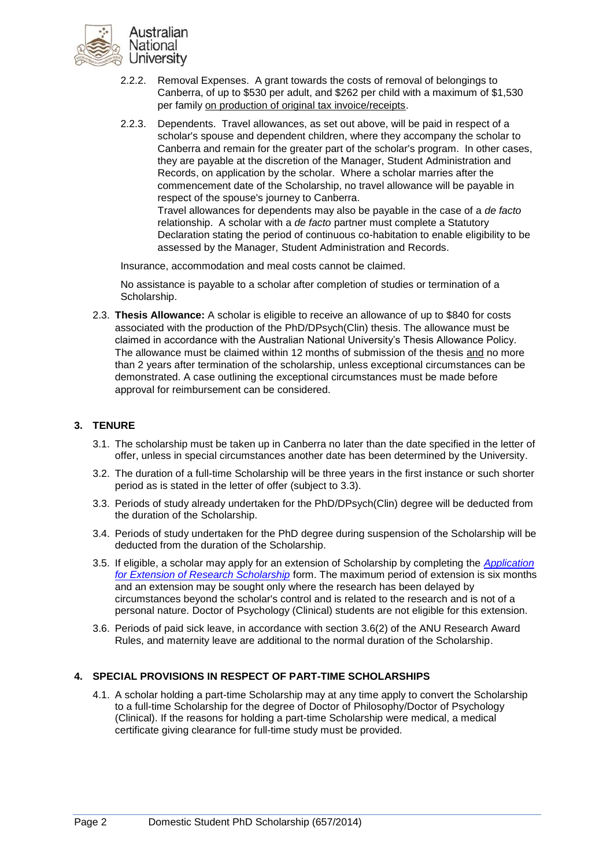

- 2.2.2. Removal Expenses. A grant towards the costs of removal of belongings to Canberra, of up to \$530 per adult, and \$262 per child with a maximum of \$1,530 per family on production of original tax invoice/receipts.
- 2.2.3. Dependents. Travel allowances, as set out above, will be paid in respect of a scholar's spouse and dependent children, where they accompany the scholar to Canberra and remain for the greater part of the scholar's program. In other cases, they are payable at the discretion of the Manager, Student Administration and Records, on application by the scholar. Where a scholar marries after the commencement date of the Scholarship, no travel allowance will be payable in respect of the spouse's journey to Canberra. Travel allowances for dependents may also be payable in the case of a *de facto* relationship. A scholar with a *de facto* partner must complete a Statutory

Declaration stating the period of continuous co-habitation to enable eligibility to be assessed by the Manager, Student Administration and Records.

Insurance, accommodation and meal costs cannot be claimed.

No assistance is payable to a scholar after completion of studies or termination of a Scholarship.

2.3. **Thesis Allowance:** A scholar is eligible to receive an allowance of up to \$840 for costs associated with the production of the PhD/DPsych(Clin) thesis. The allowance must be claimed in accordance with the Australian National University's Thesis Allowance Policy*.* The allowance must be claimed within 12 months of submission of the thesis and no more than 2 years after termination of the scholarship, unless exceptional circumstances can be demonstrated. A case outlining the exceptional circumstances must be made before approval for reimbursement can be considered.

# **3. TENURE**

- 3.1. The scholarship must be taken up in Canberra no later than the date specified in the letter of offer, unless in special circumstances another date has been determined by the University.
- 3.2. The duration of a full-time Scholarship will be three years in the first instance or such shorter period as is stated in the letter of offer (subject to 3.3).
- 3.3. Periods of study already undertaken for the PhD/DPsych(Clin) degree will be deducted from the duration of the Scholarship.
- 3.4. Periods of study undertaken for the PhD degree during suspension of the Scholarship will be deducted from the duration of the Scholarship.
- 3.5. If eligible, a scholar may apply for an extension of Scholarship by completing the *[Application](file://itsfs01.anu.edu.au/DRSS_GROUPS/CADMIN/FEES%20AND%20SCHOLARSHIPS/RESEARCH%20SCHOLARSHIPS/Conditions%20of%20Award/2012/COA%20word%20copies%20-%20not%20for%20offers/1.4.1If%20eligible,%20a%20scholar%20may%20apply%20for%20an%20extension%20of%20Scholarship%20by%20completing%20the%20Extension%20of%20Scholarship%20form%20downloadable%20from%20http:/www.anu.edu.au/sas/forms/index.php#Current_Research_Students)  [for Extension of Research Scholarship](file://itsfs01.anu.edu.au/DRSS_GROUPS/CADMIN/FEES%20AND%20SCHOLARSHIPS/RESEARCH%20SCHOLARSHIPS/Conditions%20of%20Award/2012/COA%20word%20copies%20-%20not%20for%20offers/1.4.1If%20eligible,%20a%20scholar%20may%20apply%20for%20an%20extension%20of%20Scholarship%20by%20completing%20the%20Extension%20of%20Scholarship%20form%20downloadable%20from%20http:/www.anu.edu.au/sas/forms/index.php#Current_Research_Students)* form. The maximum period of extension is six months and an extension may be sought only where the research has been delayed by circumstances beyond the scholar's control and is related to the research and is not of a personal nature. Doctor of Psychology (Clinical) students are not eligible for this extension.
- 3.6. Periods of paid sick leave, in accordance with section 3.6(2) of the ANU Research Award Rules, and maternity leave are additional to the normal duration of the Scholarship.

### **4. SPECIAL PROVISIONS IN RESPECT OF PART-TIME SCHOLARSHIPS**

4.1. A scholar holding a part-time Scholarship may at any time apply to convert the Scholarship to a full-time Scholarship for the degree of Doctor of Philosophy/Doctor of Psychology (Clinical). If the reasons for holding a part-time Scholarship were medical, a medical certificate giving clearance for full-time study must be provided.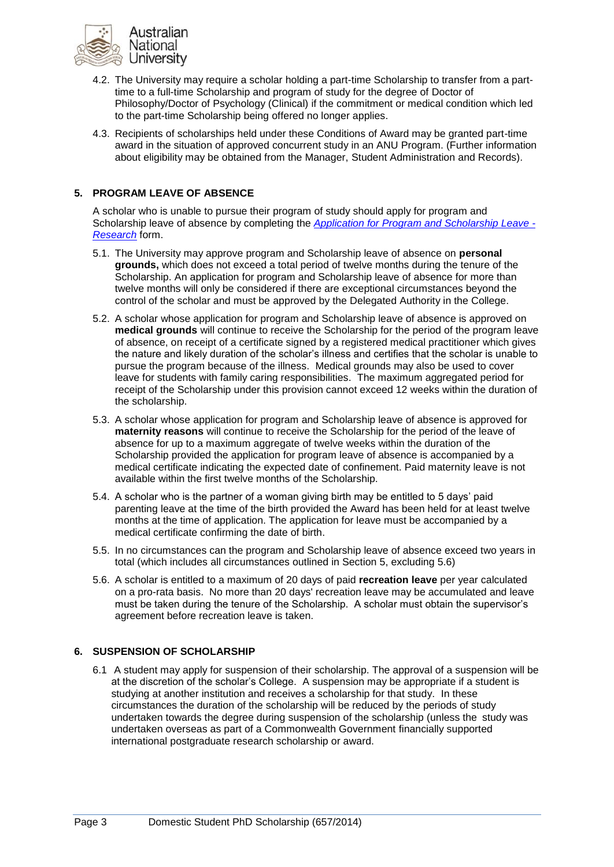

- 4.2. The University may require a scholar holding a part-time Scholarship to transfer from a parttime to a full-time Scholarship and program of study for the degree of Doctor of Philosophy/Doctor of Psychology (Clinical) if the commitment or medical condition which led to the part-time Scholarship being offered no longer applies.
- 4.3. Recipients of scholarships held under these Conditions of Award may be granted part-time award in the situation of approved concurrent study in an ANU Program. (Further information about eligibility may be obtained from the Manager, Student Administration and Records).

# **5. PROGRAM LEAVE OF ABSENCE**

A scholar who is unable to pursue their program of study should apply for program and Scholarship leave of absence by completing the *[Application for Program and Scholarship Leave -](https://apollo.anu.edu.au/default.asp?pid=7893) [Research](https://apollo.anu.edu.au/default.asp?pid=7893)* form.

- 5.1. The University may approve program and Scholarship leave of absence on **personal grounds,** which does not exceed a total period of twelve months during the tenure of the Scholarship. An application for program and Scholarship leave of absence for more than twelve months will only be considered if there are exceptional circumstances beyond the control of the scholar and must be approved by the Delegated Authority in the College.
- 5.2. A scholar whose application for program and Scholarship leave of absence is approved on **medical grounds** will continue to receive the Scholarship for the period of the program leave of absence, on receipt of a certificate signed by a registered medical practitioner which gives the nature and likely duration of the scholar's illness and certifies that the scholar is unable to pursue the program because of the illness. Medical grounds may also be used to cover leave for students with family caring responsibilities. The maximum aggregated period for receipt of the Scholarship under this provision cannot exceed 12 weeks within the duration of the scholarship.
- 5.3. A scholar whose application for program and Scholarship leave of absence is approved for **maternity reasons** will continue to receive the Scholarship for the period of the leave of absence for up to a maximum aggregate of twelve weeks within the duration of the Scholarship provided the application for program leave of absence is accompanied by a medical certificate indicating the expected date of confinement. Paid maternity leave is not available within the first twelve months of the Scholarship.
- 5.4. A scholar who is the partner of a woman giving birth may be entitled to 5 days' paid parenting leave at the time of the birth provided the Award has been held for at least twelve months at the time of application. The application for leave must be accompanied by a medical certificate confirming the date of birth.
- 5.5. In no circumstances can the program and Scholarship leave of absence exceed two years in total (which includes all circumstances outlined in Section 5, excluding 5.6)
- 5.6. A scholar is entitled to a maximum of 20 days of paid **recreation leave** per year calculated on a pro-rata basis. No more than 20 days' recreation leave may be accumulated and leave must be taken during the tenure of the Scholarship. A scholar must obtain the supervisor's agreement before recreation leave is taken.

### **6. SUSPENSION OF SCHOLARSHIP**

6.1 A student may apply for suspension of their scholarship. The approval of a suspension will be at the discretion of the scholar's College. A suspension may be appropriate if a student is studying at another institution and receives a scholarship for that study. In these circumstances the duration of the scholarship will be reduced by the periods of study undertaken towards the degree during suspension of the scholarship (unless the study was undertaken overseas as part of a Commonwealth Government financially supported international postgraduate research scholarship or award.